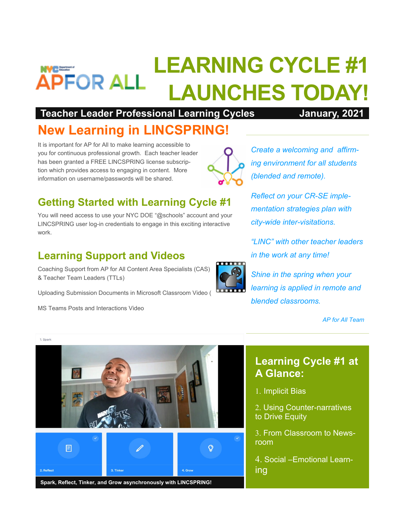# **LEARNING CYCLE #1 APFOR ALL LAUNCHES TODAY!**

#### **Teacher Leader Professional Learning Cycles January, 2021**

# **New Learning in LINCSPRING!**

It is important for AP for All to make learning accessible to you for continuous professional growth. Each teacher leader has been granted a FREE LINCSPRING license subscription which provides access to engaging in content. More information on username/passwords will be shared.

## **Getting Started with Learning Cycle #1**

You will need access to use your NYC DOE "@schools" account and your LINCSPRING user log-in credentials to engage in this exciting interactive work.

#### **Learning Support and Videos**

Coaching Support from AP for All Content Area Specialists (CAS) & Teacher Team Leaders (TTLs)

Uploading Submission Documents in Microsoft Classroom Video (

MS Teams Posts and Interactions Video



*Create a welcoming and affirming environment for all students (blended and remote).*

*Reflect on your CR-SE implementation strategies plan with city-wide inter-visitations.* 

*"LINC" with other teacher leaders in the work at any time!*

*Shine in the spring when your learning is applied in remote and blended classrooms.* 

*AP for All Team*

## **Learning Cycle #1 at A Glance:**

- 1. Implicit Bias
- 2. Using Counter-narratives to Drive Equity
- From Classroom to Newsroom
- Social –Emotional Learning



**Spark, Reflect, Tinker, and Grow asynchronously with LINCSPRING!**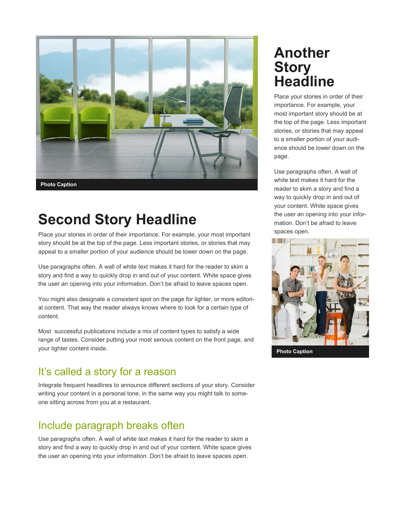

# **Second Story Headline**

Place your stories in order of their importance. For example, your most important story should be at the top of the page. Less important stories, or stories that may appeal to a smaller portion of your audience should be lower down on the page.

Use paragraphs often. A wall of white text makes it hard for the reader to skim a story and find a way to quickly drop in and out of your content. White space gives the user an opening into your information. Don't be afraid to leave spaces open.

You might also designate a consistent spot on the page for lighter, or more editorial content. That way the reader always knows where to look for a certain type of content.

Most successful publications include a mix of content types to satisfy a wide range of tastes. Consider putting your most serious content on the front page, and your lighter content inside.

#### It's called a story for a reason

Integrate frequent headlines to announce different sections of your story. Consider writing your content in a personal tone, in the same way you might talk to someone sitting across from you at a restaurant.

#### Include paragraph breaks often

Use paragraphs often. A wall of white text makes it hard for the reader to skim a story and find a way to quickly drop in and out of your content. White space gives the user an opening into your information. Don't be afraid to leave spaces open.

## **Another Story Headline**

Place your stories in order of their importance. For example, your most important story should be at the top of the page. Less important stories, or stories that may appeal to a smaller portion of your audience should be lower down on the page.

Use paragraphs often. A wall of white text makes it hard for the reader to skim a story and find a way to quickly drop in and out of your content. White space gives the user an opening into your information. Don't be afraid to leave spaces open.

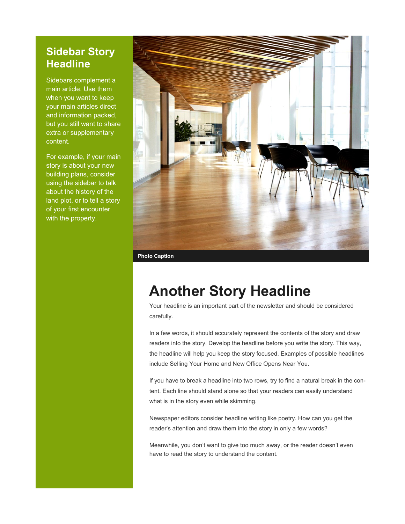#### **Sidebar Story Headline**

Sidebars complement a main article. Use them when you want to keep your main articles direct and information packed, but you still want to share extra or supplementary content.

For example, if your main story is about your new building plans, consider using the sidebar to talk about the history of the land plot, or to tell a story of your first encounter with the property.



**Photo Caption**

## **Another Story Headline**

Your headline is an important part of the newsletter and should be considered carefully.

In a few words, it should accurately represent the contents of the story and draw readers into the story. Develop the headline before you write the story. This way, the headline will help you keep the story focused. Examples of possible headlines include Selling Your Home and New Office Opens Near You.

If you have to break a headline into two rows, try to find a natural break in the content. Each line should stand alone so that your readers can easily understand what is in the story even while skimming.

Newspaper editors consider headline writing like poetry. How can you get the reader's attention and draw them into the story in only a few words?

Meanwhile, you don't want to give too much away, or the reader doesn't even have to read the story to understand the content.